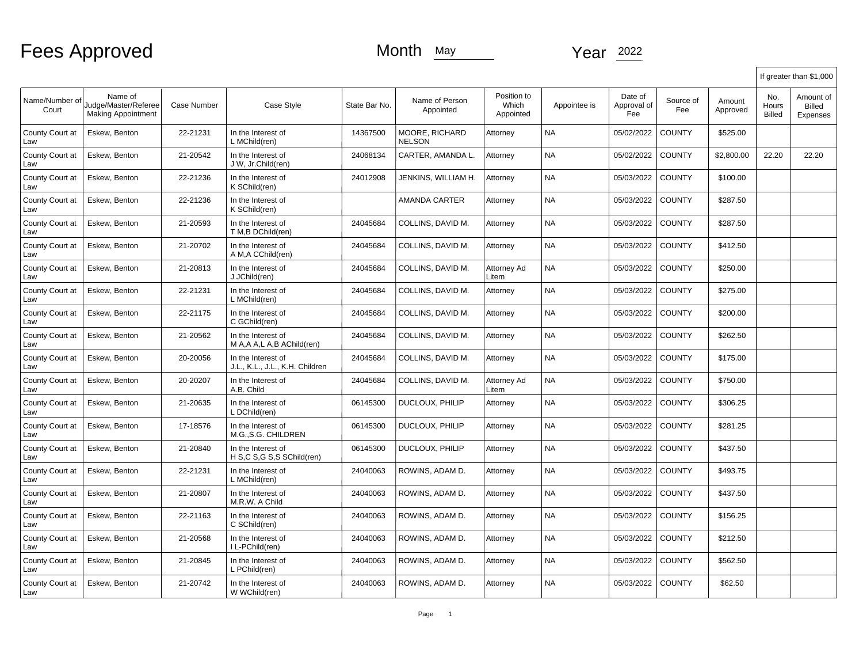Fees Approved Month May Month May Year 2022

|                         |                                                              |             |                                                       |               |                                 |                                   |              |                               |                  |                    | If greater than \$1,000 |                                 |  |
|-------------------------|--------------------------------------------------------------|-------------|-------------------------------------------------------|---------------|---------------------------------|-----------------------------------|--------------|-------------------------------|------------------|--------------------|-------------------------|---------------------------------|--|
| Name/Number of<br>Court | Name of<br>Judge/Master/Referee<br><b>Making Appointment</b> | Case Number | Case Style                                            | State Bar No. | Name of Person<br>Appointed     | Position to<br>Which<br>Appointed | Appointee is | Date of<br>Approval of<br>Fee | Source of<br>Fee | Amount<br>Approved | No.<br>Hours<br>Billed  | Amount of<br>Billed<br>Expenses |  |
| County Court at<br>Law  | Eskew, Benton                                                | 22-21231    | In the Interest of<br>L MChild(ren)                   | 14367500      | MOORE, RICHARD<br><b>NELSON</b> | Attorney                          | <b>NA</b>    | 05/02/2022                    | <b>COUNTY</b>    | \$525.00           |                         |                                 |  |
| County Court at<br>Law  | Eskew, Benton                                                | 21-20542    | In the Interest of<br>J W, Jr.Child(ren)              | 24068134      | CARTER, AMANDA L.               | Attorney                          | <b>NA</b>    | 05/02/2022                    | <b>COUNTY</b>    | \$2,800.00         | 22.20                   | 22.20                           |  |
| County Court at<br>Law  | Eskew, Benton                                                | 22-21236    | In the Interest of<br>K SChild(ren)                   | 24012908      | JENKINS, WILLIAM H.             | Attorney                          | <b>NA</b>    | 05/03/2022                    | <b>COUNTY</b>    | \$100.00           |                         |                                 |  |
| County Court at<br>Law  | Eskew, Benton                                                | 22-21236    | In the Interest of<br>K SChild(ren)                   |               | AMANDA CARTER                   | Attorney                          | <b>NA</b>    | 05/03/2022                    | <b>COUNTY</b>    | \$287.50           |                         |                                 |  |
| County Court at<br>Law  | Eskew, Benton                                                | 21-20593    | In the Interest of<br>T M.B DChild(ren)               | 24045684      | COLLINS, DAVID M.               | Attorney                          | <b>NA</b>    | 05/03/2022                    | <b>COUNTY</b>    | \$287.50           |                         |                                 |  |
| County Court at<br>Law  | Eskew, Benton                                                | 21-20702    | In the Interest of<br>A M.A CChild(ren)               | 24045684      | COLLINS, DAVID M.               | Attorney                          | <b>NA</b>    | 05/03/2022                    | <b>COUNTY</b>    | \$412.50           |                         |                                 |  |
| County Court at<br>Law  | Eskew, Benton                                                | 21-20813    | In the Interest of<br>J JChild(ren)                   | 24045684      | COLLINS, DAVID M.               | Attorney Ad<br>Litem              | <b>NA</b>    | 05/03/2022                    | <b>COUNTY</b>    | \$250.00           |                         |                                 |  |
| County Court at<br>Law  | Eskew, Benton                                                | 22-21231    | In the Interest of<br>L MChild(ren)                   | 24045684      | COLLINS, DAVID M.               | Attorney                          | NA           | 05/03/2022                    | <b>COUNTY</b>    | \$275.00           |                         |                                 |  |
| County Court at<br>Law  | Eskew, Benton                                                | 22-21175    | In the Interest of<br>C GChild(ren)                   | 24045684      | COLLINS, DAVID M.               | Attorney                          | <b>NA</b>    | 05/03/2022                    | <b>COUNTY</b>    | \$200.00           |                         |                                 |  |
| County Court at<br>Law  | Eskew, Benton                                                | 21-20562    | In the Interest of<br>M A, A A, L A, B A Child (ren)  | 24045684      | COLLINS. DAVID M.               | Attorney                          | <b>NA</b>    | 05/03/2022                    | <b>COUNTY</b>    | \$262.50           |                         |                                 |  |
| County Court at<br>Law  | Eskew, Benton                                                | 20-20056    | In the Interest of<br>J.L., K.L., J.L., K.H. Children | 24045684      | COLLINS, DAVID M.               | Attorney                          | <b>NA</b>    | 05/03/2022                    | <b>COUNTY</b>    | \$175.00           |                         |                                 |  |
| County Court at<br>Law  | Eskew, Benton                                                | 20-20207    | In the Interest of<br>A.B. Child                      | 24045684      | COLLINS, DAVID M.               | Attorney Ad<br>Litem              | <b>NA</b>    | 05/03/2022                    | <b>COUNTY</b>    | \$750.00           |                         |                                 |  |
| County Court at<br>Law  | Eskew, Benton                                                | 21-20635    | In the Interest of<br>L DChild(ren)                   | 06145300      | DUCLOUX, PHILIP                 | Attorney                          | <b>NA</b>    | 05/03/2022                    | <b>COUNTY</b>    | \$306.25           |                         |                                 |  |
| County Court at<br>Law  | Eskew, Benton                                                | 17-18576    | In the Interest of<br>M.G.,S.G. CHILDREN              | 06145300      | DUCLOUX, PHILIP                 | Attorney                          | <b>NA</b>    | 05/03/2022                    | <b>COUNTY</b>    | \$281.25           |                         |                                 |  |
| County Court at<br>Law  | Eskew, Benton                                                | 21-20840    | In the Interest of<br>H S,C S,G S,S SChild(ren)       | 06145300      | DUCLOUX, PHILIP                 | Attorney                          | <b>NA</b>    | 05/03/2022                    | <b>COUNTY</b>    | \$437.50           |                         |                                 |  |
| County Court at<br>Law  | Eskew, Benton                                                | 22-21231    | In the Interest of<br>L MChild(ren)                   | 24040063      | ROWINS, ADAM D.                 | Attorney                          | <b>NA</b>    | 05/03/2022                    | <b>COUNTY</b>    | \$493.75           |                         |                                 |  |
| County Court at<br>Law  | Eskew. Benton                                                | 21-20807    | In the Interest of<br>M.R.W. A Child                  | 24040063      | ROWINS, ADAM D.                 | Attorney                          | <b>NA</b>    | 05/03/2022                    | <b>COUNTY</b>    | \$437.50           |                         |                                 |  |
| County Court at<br>Law  | Eskew, Benton                                                | 22-21163    | In the Interest of<br>C SChild(ren)                   | 24040063      | ROWINS, ADAM D.                 | Attorney                          | <b>NA</b>    | 05/03/2022                    | <b>COUNTY</b>    | \$156.25           |                         |                                 |  |
| County Court at<br>Law  | Eskew, Benton                                                | 21-20568    | In the Interest of<br>I L-PChild(ren)                 | 24040063      | ROWINS, ADAM D.                 | Attorney                          | NA           | 05/03/2022                    | <b>COUNTY</b>    | \$212.50           |                         |                                 |  |
| County Court at<br>Law  | Eskew, Benton                                                | 21-20845    | In the Interest of<br>L PChild(ren)                   | 24040063      | ROWINS, ADAM D.                 | Attorney                          | <b>NA</b>    | 05/03/2022                    | <b>COUNTY</b>    | \$562.50           |                         |                                 |  |
| County Court at<br>Law  | Eskew, Benton                                                | 21-20742    | In the Interest of<br>W WChild(ren)                   | 24040063      | ROWINS, ADAM D.                 | Attorney                          | <b>NA</b>    | 05/03/2022                    | <b>COUNTY</b>    | \$62.50            |                         |                                 |  |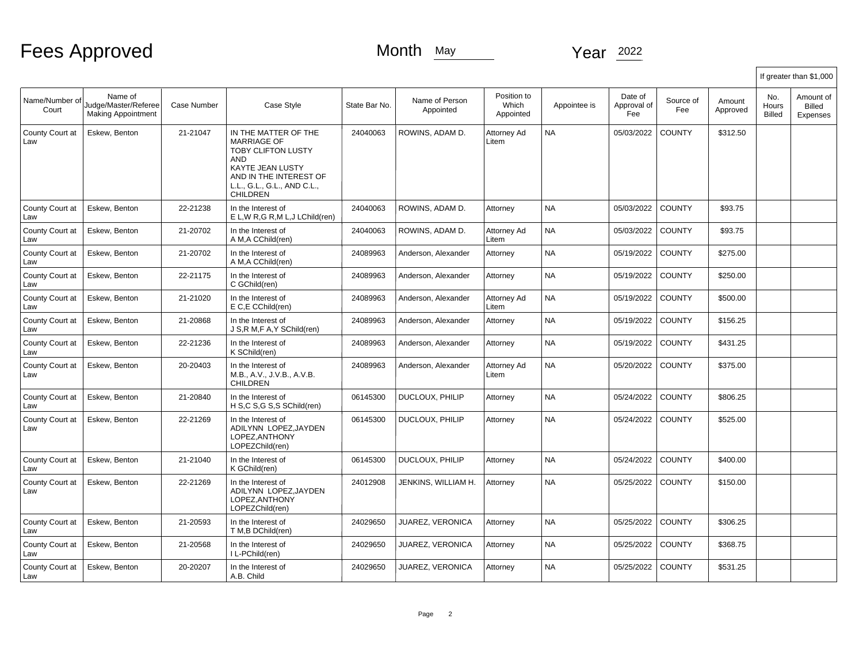## Fees Approved Month May Month May Year 2022

|                         |                                                              |             |                                                                                                                                                                                       |               |                             |                                   |              |                               |                  |                    | If greater than \$1,000 |                                        |  |  |
|-------------------------|--------------------------------------------------------------|-------------|---------------------------------------------------------------------------------------------------------------------------------------------------------------------------------------|---------------|-----------------------------|-----------------------------------|--------------|-------------------------------|------------------|--------------------|-------------------------|----------------------------------------|--|--|
| Name/Number of<br>Court | Name of<br>Judge/Master/Referee<br><b>Making Appointment</b> | Case Number | Case Style                                                                                                                                                                            | State Bar No. | Name of Person<br>Appointed | Position to<br>Which<br>Appointed | Appointee is | Date of<br>Approval of<br>Fee | Source of<br>Fee | Amount<br>Approved | No.<br>Hours<br>Billed  | Amount of<br><b>Billed</b><br>Expenses |  |  |
| County Court at<br>Law  | Eskew, Benton                                                | 21-21047    | IN THE MATTER OF THE<br><b>MARRIAGE OF</b><br><b>TOBY CLIFTON LUSTY</b><br>AND<br><b>KAYTE JEAN LUSTY</b><br>AND IN THE INTEREST OF<br>L.L., G.L., G.L., AND C.L.,<br><b>CHILDREN</b> | 24040063      | ROWINS, ADAM D.             | Attorney Ad<br>Litem              | <b>NA</b>    | 05/03/2022                    | <b>COUNTY</b>    | \$312.50           |                         |                                        |  |  |
| County Court at<br>Law  | Eskew, Benton                                                | 22-21238    | In the Interest of<br>E L, W R, G R, M L, J L Child (ren)                                                                                                                             | 24040063      | ROWINS, ADAM D.             | Attorney                          | <b>NA</b>    | 05/03/2022                    | <b>COUNTY</b>    | \$93.75            |                         |                                        |  |  |
| County Court at<br>Law  | Eskew, Benton                                                | 21-20702    | In the Interest of<br>A M, A CChild(ren)                                                                                                                                              | 24040063      | ROWINS, ADAM D.             | Attorney Ad<br>Litem              | <b>NA</b>    | 05/03/2022                    | <b>COUNTY</b>    | \$93.75            |                         |                                        |  |  |
| County Court at<br>Law  | Eskew, Benton                                                | 21-20702    | In the Interest of<br>A M, A CChild(ren)                                                                                                                                              | 24089963      | Anderson, Alexander         | Attorney                          | <b>NA</b>    | 05/19/2022                    | <b>COUNTY</b>    | \$275.00           |                         |                                        |  |  |
| County Court at<br>Law  | Eskew, Benton                                                | 22-21175    | In the Interest of<br>C GChild(ren)                                                                                                                                                   | 24089963      | Anderson, Alexander         | Attorney                          | <b>NA</b>    | 05/19/2022                    | <b>COUNTY</b>    | \$250.00           |                         |                                        |  |  |
| County Court at<br>Law  | Eskew, Benton                                                | 21-21020    | In the Interest of<br>E C.E CChild(ren)                                                                                                                                               | 24089963      | Anderson, Alexander         | Attorney Ad<br>Litem              | <b>NA</b>    | 05/19/2022                    | <b>COUNTY</b>    | \$500.00           |                         |                                        |  |  |
| County Court at<br>Law  | Eskew, Benton                                                | 21-20868    | In the Interest of<br>J S.R M.F A.Y SChild(ren)                                                                                                                                       | 24089963      | Anderson, Alexander         | Attorney                          | <b>NA</b>    | 05/19/2022                    | <b>COUNTY</b>    | \$156.25           |                         |                                        |  |  |
| County Court at<br>Law  | Eskew, Benton                                                | 22-21236    | In the Interest of<br>K SChild(ren)                                                                                                                                                   | 24089963      | Anderson, Alexander         | Attorney                          | <b>NA</b>    | 05/19/2022                    | <b>COUNTY</b>    | \$431.25           |                         |                                        |  |  |
| County Court at<br>Law  | Eskew, Benton                                                | 20-20403    | In the Interest of<br>M.B., A.V., J.V.B., A.V.B.<br>CHILDREN                                                                                                                          | 24089963      | Anderson, Alexander         | Attorney Ad<br>Litem              | <b>NA</b>    | 05/20/2022                    | <b>COUNTY</b>    | \$375.00           |                         |                                        |  |  |
| County Court at<br>Law  | Eskew, Benton                                                | 21-20840    | In the Interest of<br>H S,C S,G S,S SChild(ren)                                                                                                                                       | 06145300      | DUCLOUX, PHILIP             | Attorney                          | <b>NA</b>    | 05/24/2022                    | <b>COUNTY</b>    | \$806.25           |                         |                                        |  |  |
| County Court at<br>Law  | Eskew, Benton                                                | 22-21269    | In the Interest of<br>ADILYNN LOPEZ, JAYDEN<br>LOPEZ, ANTHONY<br>LOPEZChild(ren)                                                                                                      | 06145300      | DUCLOUX, PHILIP             | Attorney                          | <b>NA</b>    | 05/24/2022                    | <b>COUNTY</b>    | \$525.00           |                         |                                        |  |  |
| County Court at<br>Law  | Eskew, Benton                                                | 21-21040    | In the Interest of<br>K GChild(ren)                                                                                                                                                   | 06145300      | DUCLOUX, PHILIP             | Attorney                          | <b>NA</b>    | 05/24/2022                    | <b>COUNTY</b>    | \$400.00           |                         |                                        |  |  |
| County Court at<br>Law  | Eskew, Benton                                                | 22-21269    | In the Interest of<br>ADILYNN LOPEZ, JAYDEN<br>LOPEZ.ANTHONY<br>LOPEZChild(ren)                                                                                                       | 24012908      | JENKINS, WILLIAM H.         | Attorney                          | <b>NA</b>    | 05/25/2022                    | <b>COUNTY</b>    | \$150.00           |                         |                                        |  |  |
| County Court at<br>Law  | Eskew, Benton                                                | 21-20593    | In the Interest of<br>T M, B DChild(ren)                                                                                                                                              | 24029650      | JUAREZ, VERONICA            | Attorney                          | <b>NA</b>    | 05/25/2022                    | <b>COUNTY</b>    | \$306.25           |                         |                                        |  |  |
| County Court at<br>Law  | Eskew, Benton                                                | 21-20568    | In the Interest of<br>I L-PChild(ren)                                                                                                                                                 | 24029650      | JUAREZ, VERONICA            | Attorney                          | <b>NA</b>    | 05/25/2022                    | <b>COUNTY</b>    | \$368.75           |                         |                                        |  |  |
| County Court at<br>Law  | Eskew, Benton                                                | 20-20207    | In the Interest of<br>A.B. Child                                                                                                                                                      | 24029650      | JUAREZ, VERONICA            | Attorney                          | <b>NA</b>    | 05/25/2022                    | <b>COUNTY</b>    | \$531.25           |                         |                                        |  |  |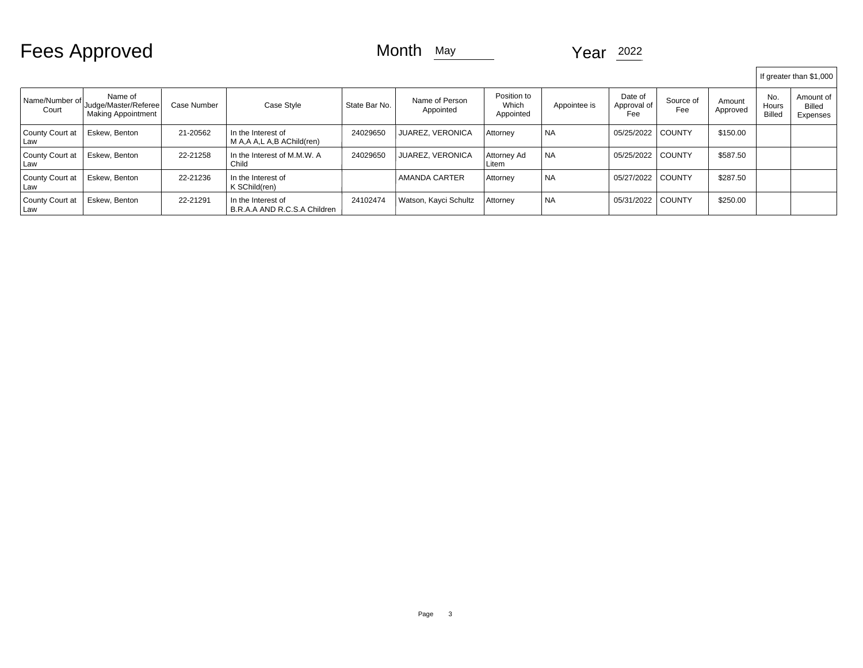Fees Approved Month May Month May Year 2022

|                           |                                                              |             |                                                      |               |                             |                                   |              |                               |                  |                    |                               | If greater than \$1,000         |
|---------------------------|--------------------------------------------------------------|-------------|------------------------------------------------------|---------------|-----------------------------|-----------------------------------|--------------|-------------------------------|------------------|--------------------|-------------------------------|---------------------------------|
| Name/Number of l<br>Court | Name of<br>Judge/Master/Referee<br><b>Making Appointment</b> | Case Number | Case Style                                           | State Bar No. | Name of Person<br>Appointed | Position to<br>Which<br>Appointed | Appointee is | Date of<br>Approval of<br>Fee | Source of<br>Fee | Amount<br>Approved | No.<br>Hours<br><b>Billed</b> | Amount of<br>Billed<br>Expenses |
| County Court at<br>Law    | Eskew. Benton                                                | 21-20562    | In the Interest of<br>M A, A A, L A, B A Child (ren) | 24029650      | <b>JUAREZ. VERONICA</b>     | Attorney                          | <b>NA</b>    | 05/25/2022                    | <b>COUNTY</b>    | \$150.00           |                               |                                 |
| County Court at<br>Law    | Eskew, Benton                                                | 22-21258    | In the Interest of M.M.W. A<br>Child                 | 24029650      | <b>JUAREZ. VERONICA</b>     | Attorney Ad<br>Litem              | <b>NA</b>    | 05/25/2022                    | <b>COUNTY</b>    | \$587.50           |                               |                                 |
| County Court at<br>Law    | Eskew, Benton                                                | 22-21236    | In the Interest of<br>K SChild(ren)                  |               | <b>AMANDA CARTER</b>        | Attorney                          | <b>NA</b>    | 05/27/2022                    | <b>COUNTY</b>    | \$287.50           |                               |                                 |
| County Court at<br>l Law  | Eskew, Benton                                                | 22-21291    | In the Interest of<br>B.R.A.A AND R.C.S.A Children   | 24102474      | Watson, Kayci Schultz       | Attorney                          | <b>NA</b>    | 05/31/2022                    | l COUNTY         | \$250.00           |                               |                                 |